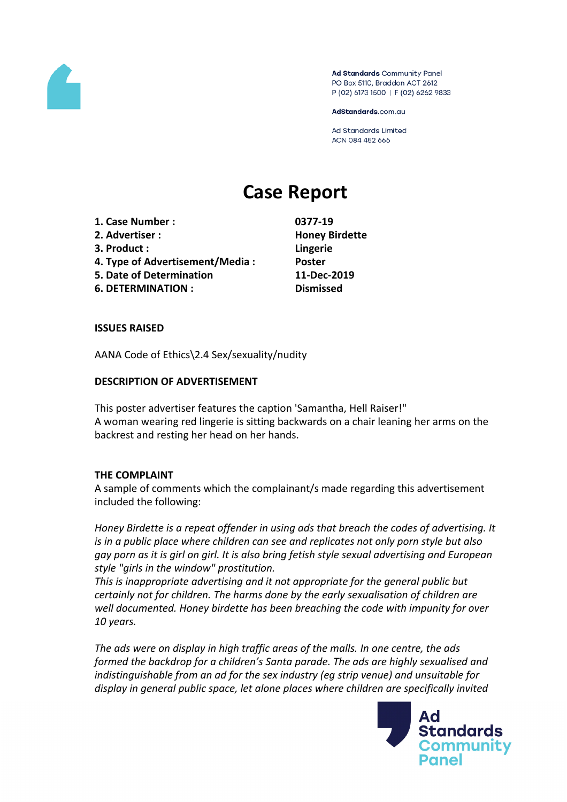

Ad Standards Community Panel PO Box 5110, Braddon ACT 2612 P (02) 6173 1500 | F (02) 6262 9833

AdStandards.com.au

**Ad Standards Limited** ACN 084 452 666

# **Case Report**

**1. Case Number : 0377-19**

- **2. Advertiser : Honey Birdette**
- **3. Product : Lingerie**
- **4. Type of Advertisement/Media : Poster**
- **5. Date of Determination 11-Dec-2019**
- **6. DETERMINATION : Dismissed**

### **ISSUES RAISED**

AANA Code of Ethics\2.4 Sex/sexuality/nudity

### **DESCRIPTION OF ADVERTISEMENT**

This poster advertiser features the caption 'Samantha, Hell Raiser!" A woman wearing red lingerie is sitting backwards on a chair leaning her arms on the backrest and resting her head on her hands.

## **THE COMPLAINT**

A sample of comments which the complainant/s made regarding this advertisement included the following:

*Honey Birdette is a repeat offender in using ads that breach the codes of advertising. It is in a public place where children can see and replicates not only porn style but also gay porn as it is girl on girl. It is also bring fetish style sexual advertising and European style "girls in the window" prostitution.*

*This is inappropriate advertising and it not appropriate for the general public but certainly not for children. The harms done by the early sexualisation of children are well documented. Honey birdette has been breaching the code with impunity for over 10 years.*

*The ads were on display in high traffic areas of the malls. In one centre, the ads formed the backdrop for a children's Santa parade. The ads are highly sexualised and indistinguishable from an ad for the sex industry (eg strip venue) and unsuitable for display in general public space, let alone places where children are specifically invited*

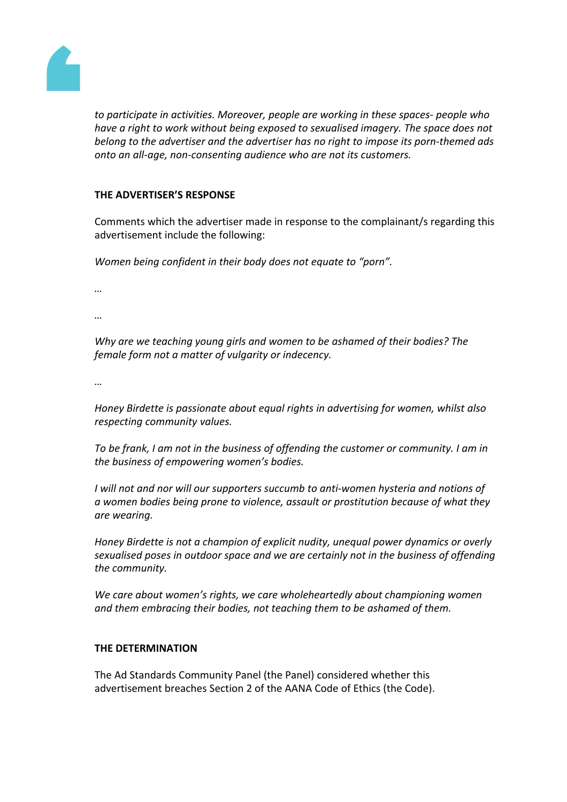

*to participate in activities. Moreover, people are working in these spaces- people who have a right to work without being exposed to sexualised imagery. The space does not belong to the advertiser and the advertiser has no right to impose its porn-themed ads onto an all-age, non-consenting audience who are not its customers.*

### **THE ADVERTISER'S RESPONSE**

Comments which the advertiser made in response to the complainant/s regarding this advertisement include the following:

*Women being confident in their body does not equate to "porn".*

*…*

*…*

*Why are we teaching young girls and women to be ashamed of their bodies? The female form not a matter of vulgarity or indecency.*

*…*

*Honey Birdette is passionate about equal rights in advertising for women, whilst also respecting community values.*

*To be frank, I am not in the business of offending the customer or community. I am in the business of empowering women's bodies.*

*I will not and nor will our supporters succumb to anti-women hysteria and notions of a women bodies being prone to violence, assault or prostitution because of what they are wearing.*

*Honey Birdette is not a champion of explicit nudity, unequal power dynamics or overly sexualised poses in outdoor space and we are certainly not in the business of offending the community.*

*We care about women's rights, we care wholeheartedly about championing women and them embracing their bodies, not teaching them to be ashamed of them.*

## **THE DETERMINATION**

The Ad Standards Community Panel (the Panel) considered whether this advertisement breaches Section 2 of the AANA Code of Ethics (the Code).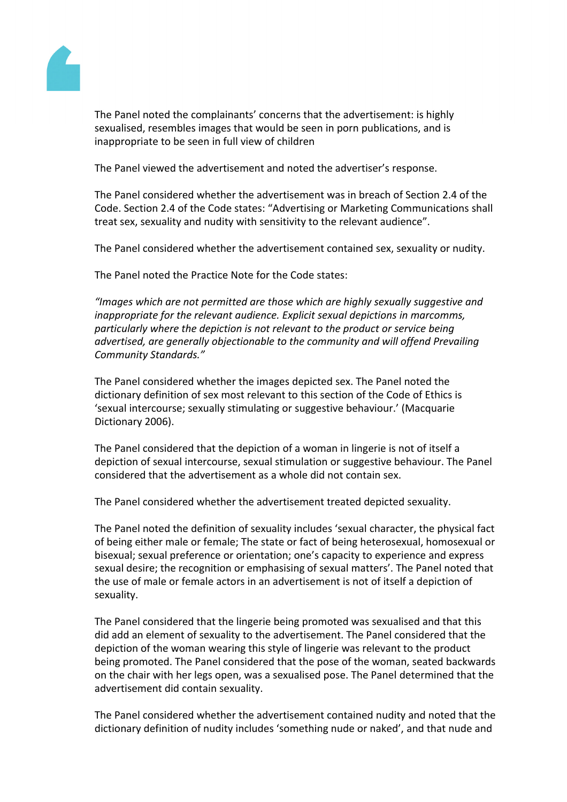

The Panel noted the complainants' concerns that the advertisement: is highly sexualised, resembles images that would be seen in porn publications, and is inappropriate to be seen in full view of children

The Panel viewed the advertisement and noted the advertiser's response.

The Panel considered whether the advertisement was in breach of Section 2.4 of the Code. Section 2.4 of the Code states: "Advertising or Marketing Communications shall treat sex, sexuality and nudity with sensitivity to the relevant audience".

The Panel considered whether the advertisement contained sex, sexuality or nudity.

The Panel noted the Practice Note for the Code states:

*"Images which are not permitted are those which are highly sexually suggestive and inappropriate for the relevant audience. Explicit sexual depictions in marcomms, particularly where the depiction is not relevant to the product or service being advertised, are generally objectionable to the community and will offend Prevailing Community Standards."*

The Panel considered whether the images depicted sex. The Panel noted the dictionary definition of sex most relevant to this section of the Code of Ethics is 'sexual intercourse; sexually stimulating or suggestive behaviour.' (Macquarie Dictionary 2006).

The Panel considered that the depiction of a woman in lingerie is not of itself a depiction of sexual intercourse, sexual stimulation or suggestive behaviour. The Panel considered that the advertisement as a whole did not contain sex.

The Panel considered whether the advertisement treated depicted sexuality.

The Panel noted the definition of sexuality includes 'sexual character, the physical fact of being either male or female; The state or fact of being heterosexual, homosexual or bisexual; sexual preference or orientation; one's capacity to experience and express sexual desire; the recognition or emphasising of sexual matters'. The Panel noted that the use of male or female actors in an advertisement is not of itself a depiction of sexuality.

The Panel considered that the lingerie being promoted was sexualised and that this did add an element of sexuality to the advertisement. The Panel considered that the depiction of the woman wearing this style of lingerie was relevant to the product being promoted. The Panel considered that the pose of the woman, seated backwards on the chair with her legs open, was a sexualised pose. The Panel determined that the advertisement did contain sexuality.

The Panel considered whether the advertisement contained nudity and noted that the dictionary definition of nudity includes 'something nude or naked', and that nude and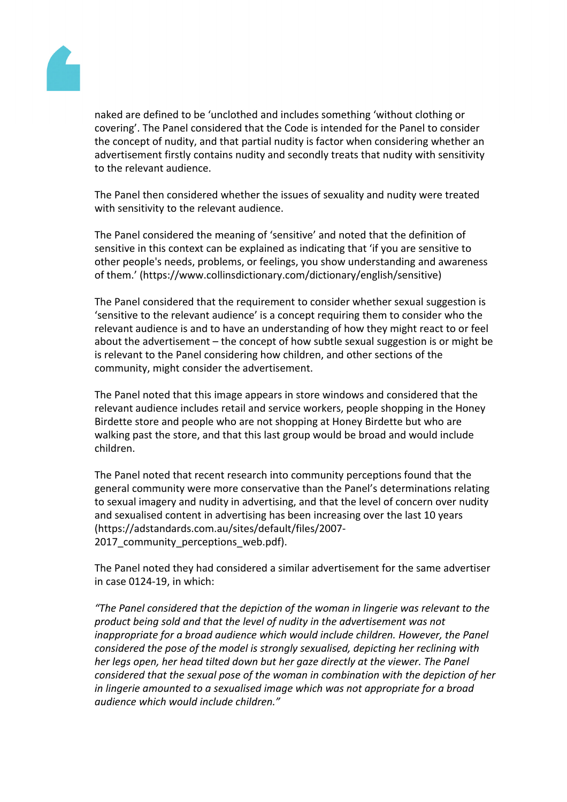

naked are defined to be 'unclothed and includes something 'without clothing or covering'. The Panel considered that the Code is intended for the Panel to consider the concept of nudity, and that partial nudity is factor when considering whether an advertisement firstly contains nudity and secondly treats that nudity with sensitivity to the relevant audience.

The Panel then considered whether the issues of sexuality and nudity were treated with sensitivity to the relevant audience.

The Panel considered the meaning of 'sensitive' and noted that the definition of sensitive in this context can be explained as indicating that 'if you are sensitive to other people's needs, problems, or feelings, you show understanding and awareness of them.' (https://www.collinsdictionary.com/dictionary/english/sensitive)

The Panel considered that the requirement to consider whether sexual suggestion is 'sensitive to the relevant audience' is a concept requiring them to consider who the relevant audience is and to have an understanding of how they might react to or feel about the advertisement – the concept of how subtle sexual suggestion is or might be is relevant to the Panel considering how children, and other sections of the community, might consider the advertisement.

The Panel noted that this image appears in store windows and considered that the relevant audience includes retail and service workers, people shopping in the Honey Birdette store and people who are not shopping at Honey Birdette but who are walking past the store, and that this last group would be broad and would include children.

The Panel noted that recent research into community perceptions found that the general community were more conservative than the Panel's determinations relating to sexual imagery and nudity in advertising, and that the level of concern over nudity and sexualised content in advertising has been increasing over the last 10 years (https://adstandards.com.au/sites/default/files/2007- 2017 community perceptions web.pdf).

The Panel noted they had considered a similar advertisement for the same advertiser in case 0124-19, in which:

*"The Panel considered that the depiction of the woman in lingerie was relevant to the product being sold and that the level of nudity in the advertisement was not inappropriate for a broad audience which would include children. However, the Panel considered the pose of the model is strongly sexualised, depicting her reclining with her legs open, her head tilted down but her gaze directly at the viewer. The Panel considered that the sexual pose of the woman in combination with the depiction of her in lingerie amounted to a sexualised image which was not appropriate for a broad audience which would include children."*